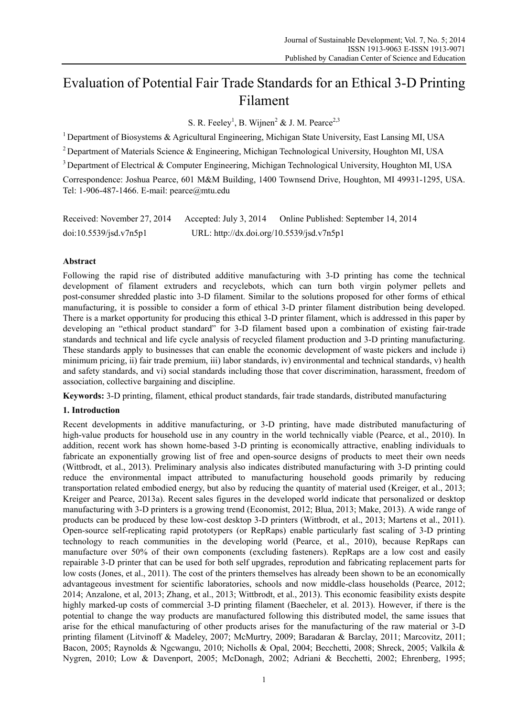# Evaluation of Potential Fair Trade Standards for an Ethical 3-D Printing Filament

S. R. Feeley<sup>1</sup>, B. Wijnen<sup>2</sup> & J. M. Pearce<sup>2,3</sup>

<sup>1</sup> Department of Biosystems & Agricultural Engineering, Michigan State University, East Lansing MI, USA

<sup>2</sup> Department of Materials Science & Engineering, Michigan Technological University, Houghton MI, USA

<sup>3</sup> Department of Electrical & Computer Engineering, Michigan Technological University, Houghton MI, USA

Correspondence: Joshua Pearce, 601 M&M Building, 1400 Townsend Drive, Houghton, MI 49931-1295, USA. Tel: 1-906-487-1466. E-mail: pearce@mtu.edu

| Received: November 27, 2014 | Accepted: July 3, $2014$                  | Online Published: September 14, 2014 |
|-----------------------------|-------------------------------------------|--------------------------------------|
| doi:10.5539/jsd.v7n5p1      | URL: http://dx.doi.org/10.5539/jsd.v7n5p1 |                                      |

# **Abstract**

Following the rapid rise of distributed additive manufacturing with 3-D printing has come the technical development of filament extruders and recyclebots, which can turn both virgin polymer pellets and post-consumer shredded plastic into 3-D filament. Similar to the solutions proposed for other forms of ethical manufacturing, it is possible to consider a form of ethical 3-D printer filament distribution being developed. There is a market opportunity for producing this ethical 3-D printer filament, which is addressed in this paper by developing an "ethical product standard" for 3-D filament based upon a combination of existing fair-trade standards and technical and life cycle analysis of recycled filament production and 3-D printing manufacturing. These standards apply to businesses that can enable the economic development of waste pickers and include i) minimum pricing, ii) fair trade premium, iii) labor standards, iv) environmental and technical standards, v) health and safety standards, and vi) social standards including those that cover discrimination, harassment, freedom of association, collective bargaining and discipline.

**Keywords:** 3-D printing, filament, ethical product standards, fair trade standards, distributed manufacturing

# **1. Introduction**

Recent developments in additive manufacturing, or 3-D printing, have made distributed manufacturing of high-value products for household use in any country in the world technically viable (Pearce, et al., 2010). In addition, recent work has shown home-based 3-D printing is economically attractive, enabling individuals to fabricate an exponentially growing list of free and open-source designs of products to meet their own needs (Wittbrodt, et al., 2013). Preliminary analysis also indicates distributed manufacturing with 3-D printing could reduce the environmental impact attributed to manufacturing household goods primarily by reducing transportation related embodied energy, but also by reducing the quantity of material used (Kreiger, et al., 2013; Kreiger and Pearce, 2013a). Recent sales figures in the developed world indicate that personalized or desktop manufacturing with 3-D printers is a growing trend (Economist, 2012; Blua, 2013; Make, 2013). A wide range of products can be produced by these low-cost desktop 3-D printers (Wittbrodt, et al., 2013; Martens et al., 2011). Open-source self-replicating rapid prototypers (or RepRaps) enable particularly fast scaling of 3-D printing technology to reach communities in the developing world (Pearce, et al., 2010), because RepRaps can manufacture over 50% of their own components (excluding fasteners). RepRaps are a low cost and easily repairable 3-D printer that can be used for both self upgrades, reprodution and fabricating replacement parts for low costs (Jones, et al., 2011). The cost of the printers themselves has already been shown to be an economically advantageous investment for scientific laboratories, schools and now middle-class households (Pearce, 2012; 2014; Anzalone, et al, 2013; Zhang, et al., 2013; Wittbrodt, et al., 2013). This economic feasibility exists despite highly marked-up costs of commercial 3-D printing filament (Baecheler, et al. 2013). However, if there is the potential to change the way products are manufactured following this distributed model, the same issues that arise for the ethical manufacturing of other products arises for the manufacturing of the raw material or 3-D printing filament (Litvinoff & Madeley, 2007; McMurtry, 2009; Baradaran & Barclay, 2011; Marcovitz, 2011; Bacon, 2005; Raynolds & Ngcwangu, 2010; Nicholls & Opal, 2004; Becchetti, 2008; Shreck, 2005; Valkila & Nygren, 2010; Low & Davenport, 2005; McDonagh, 2002; Adriani & Becchetti, 2002; Ehrenberg, 1995;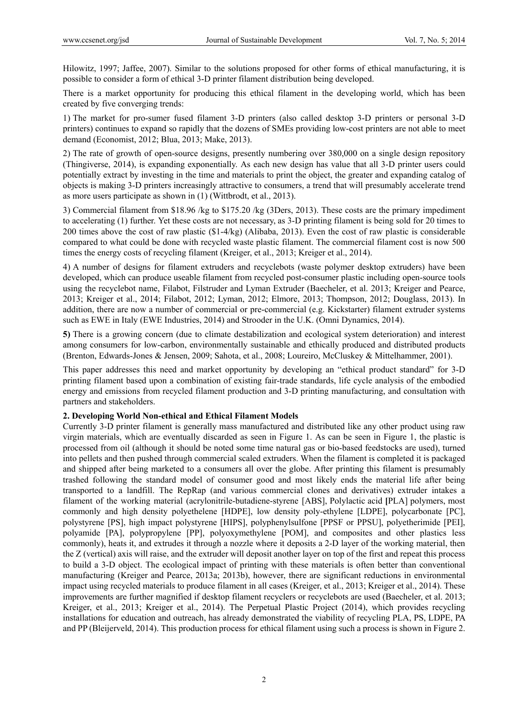Hilowitz, 1997; Jaffee, 2007). Similar to the solutions proposed for other forms of ethical manufacturing, it is possible to consider a form of ethical 3-D printer filament distribution being developed.

There is a market opportunity for producing this ethical filament in the developing world, which has been created by five converging trends:

1) The market for pro-sumer fused filament 3-D printers (also called desktop 3-D printers or personal 3-D printers) continues to expand so rapidly that the dozens of SMEs providing low-cost printers are not able to meet demand (Economist, 2012; Blua, 2013; Make, 2013).

2) The rate of growth of open-source designs, presently numbering over 380,000 on a single design repository (Thingiverse, 2014), is expanding exponentially. As each new design has value that all 3-D printer users could potentially extract by investing in the time and materials to print the object, the greater and expanding catalog of objects is making 3-D printers increasingly attractive to consumers, a trend that will presumably accelerate trend as more users participate as shown in (1) (Wittbrodt, et al., 2013).

3) Commercial filament from \$18.96 /kg to \$175.20 /kg (3Ders, 2013). These costs are the primary impediment to accelerating (1) further. Yet these costs are not necessary, as 3-D printing filament is being sold for 20 times to 200 times above the cost of raw plastic (\$1-4/kg) (Alibaba, 2013). Even the cost of raw plastic is considerable compared to what could be done with recycled waste plastic filament. The commercial filament cost is now 500 times the energy costs of recycling filament (Kreiger, et al., 2013; Kreiger et al., 2014).

4) A number of designs for filament extruders and recyclebots (waste polymer desktop extruders) have been developed, which can produce useable filament from recycled post-consumer plastic including open-source tools using the recyclebot name, Filabot, Filstruder and Lyman Extruder (Baecheler, et al. 2013; Kreiger and Pearce, 2013; Kreiger et al., 2014; Filabot, 2012; Lyman, 2012; Elmore, 2013; Thompson, 2012; Douglass, 2013). In addition, there are now a number of commercial or pre-commercial (e.g. Kickstarter) filament extruder systems such as EWE in Italy (EWE Industries, 2014) and Strooder in the U.K. (Omni Dynamics, 2014).

**5)** There is a growing concern (due to climate destabilization and ecological system deterioration) and interest among consumers for low-carbon, environmentally sustainable and ethically produced and distributed products (Brenton, Edwards-Jones & Jensen, 2009; Sahota, et al., 2008; Loureiro, McCluskey & Mittelhammer, 2001).

This paper addresses this need and market opportunity by developing an "ethical product standard" for 3-D printing filament based upon a combination of existing fair-trade standards, life cycle analysis of the embodied energy and emissions from recycled filament production and 3-D printing manufacturing, and consultation with partners and stakeholders.

# **2. Developing World Non-ethical and Ethical Filament Models**

Currently 3-D printer filament is generally mass manufactured and distributed like any other product using raw virgin materials, which are eventually discarded as seen in Figure 1. As can be seen in Figure 1, the plastic is processed from oil (although it should be noted some time natural gas or bio-based feedstocks are used), turned into pellets and then pushed through commercial scaled extruders. When the filament is completed it is packaged and shipped after being marketed to a consumers all over the globe. After printing this filament is presumably trashed following the standard model of consumer good and most likely ends the material life after being transported to a landfill. The RepRap (and various commercial clones and derivatives) extruder intakes a filament of the working material (acrylonitrile-butadiene-styrene [ABS], Polylactic acid **[**PLA] polymers, most commonly and high density polyethelene [HDPE], low density poly-ethylene [LDPE], polycarbonate [PC], polystyrene [PS], high impact polystyrene [HIPS], polyphenylsulfone [PPSF or PPSU], polyetherimide [PEI], polyamide [PA], polypropylene [PP], polyoxymethylene [POM], and composites and other plastics less commonly), heats it, and extrudes it through a nozzle where it deposits a 2-D layer of the working material, then the Z (vertical) axis will raise, and the extruder will deposit another layer on top of the first and repeat this process to build a 3-D object. The ecological impact of printing with these materials is often better than conventional manufacturing (Kreiger and Pearce, 2013a; 2013b), however, there are significant reductions in environmental impact using recycled materials to produce filament in all cases (Kreiger, et al., 2013; Kreiger et al., 2014). These improvements are further magnified if desktop filament recyclers or recyclebots are used (Baecheler, et al. 2013; Kreiger, et al., 2013; Kreiger et al., 2014). The Perpetual Plastic Project (2014), which provides recycling installations for education and outreach, has already demonstrated the viability of recycling PLA, PS, LDPE, PA and PP (Bleijerveld, 2014). This production process for ethical filament using such a process is shown in Figure 2.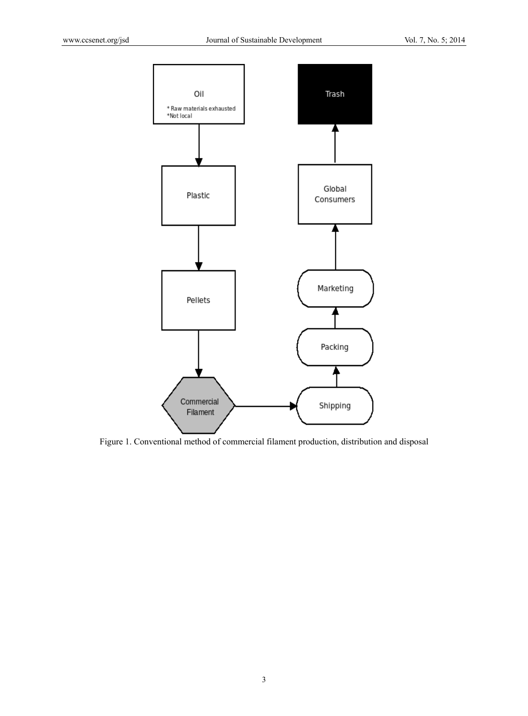

Figure 1. Conventional method of commercial filament production, distribution and disposal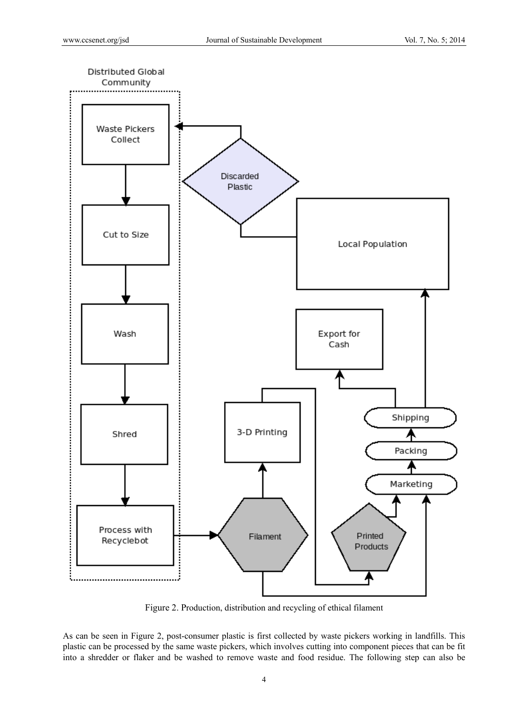

Figure 2. Production, distribution and recycling of ethical filament

As can be seen in Figure 2, post-consumer plastic is first collected by waste pickers working in landfills. This plastic can be processed by the same waste pickers, which involves cutting into component pieces that can be fit into a shredder or flaker and be washed to remove waste and food residue. The following step can also be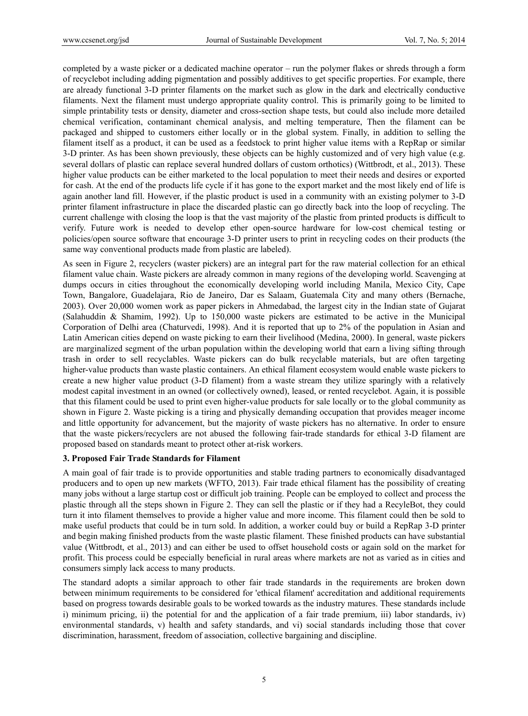completed by a waste picker or a dedicated machine operator – run the polymer flakes or shreds through a form of recyclebot including adding pigmentation and possibly additives to get specific properties. For example, there are already functional 3-D printer filaments on the market such as glow in the dark and electrically conductive filaments. Next the filament must undergo appropriate quality control. This is primarily going to be limited to simple printability tests or density, diameter and cross-section shape tests, but could also include more detailed chemical verification, contaminant chemical analysis, and melting temperature, Then the filament can be packaged and shipped to customers either locally or in the global system. Finally, in addition to selling the filament itself as a product, it can be used as a feedstock to print higher value items with a RepRap or similar 3-D printer. As has been shown previously, these objects can be highly customized and of very high value (e.g. several dollars of plastic can replace several hundred dollars of custom orthotics) (Wittbrodt, et al., 2013). These higher value products can be either marketed to the local population to meet their needs and desires or exported for cash. At the end of the products life cycle if it has gone to the export market and the most likely end of life is again another land fill. However, if the plastic product is used in a community with an existing polymer to 3-D printer filament infrastructure in place the discarded plastic can go directly back into the loop of recycling. The current challenge with closing the loop is that the vast majority of the plastic from printed products is difficult to verify. Future work is needed to develop ether open-source hardware for low-cost chemical testing or policies/open source software that encourage 3-D printer users to print in recycling codes on their products (the same way conventional products made from plastic are labeled).

As seen in Figure 2, recyclers (waster pickers) are an integral part for the raw material collection for an ethical filament value chain. Waste pickers are already common in many regions of the developing world. Scavenging at dumps occurs in cities throughout the economically developing world including Manila, Mexico City, Cape Town, Bangalore, Guadelajara, Rio de Janeiro, Dar es Salaam, Guatemala City and many others (Bernache, 2003). Over 20,000 women work as paper pickers in Ahmedabad, the largest city in the Indian state of Gujarat (Salahuddin & Shamim, 1992). Up to 150,000 waste pickers are estimated to be active in the Municipal Corporation of Delhi area (Chaturvedi, 1998). And it is reported that up to 2% of the population in Asian and Latin American cities depend on waste picking to earn their livelihood (Medina, 2000). In general, waste pickers are marginalized segment of the urban population within the developing world that earn a living sifting through trash in order to sell recyclables. Waste pickers can do bulk recyclable materials, but are often targeting higher-value products than waste plastic containers. An ethical filament ecosystem would enable waste pickers to create a new higher value product (3-D filament) from a waste stream they utilize sparingly with a relatively modest capital investment in an owned (or collectively owned), leased, or rented recyclebot. Again, it is possible that this filament could be used to print even higher-value products for sale locally or to the global community as shown in Figure 2. Waste picking is a tiring and physically demanding occupation that provides meager income and little opportunity for advancement, but the majority of waste pickers has no alternative. In order to ensure that the waste pickers/recyclers are not abused the following fair-trade standards for ethical 3-D filament are proposed based on standards meant to protect other at-risk workers.

#### **3. Proposed Fair Trade Standards for Filament**

A main goal of fair trade is to provide opportunities and stable trading partners to economically disadvantaged producers and to open up new markets (WFTO, 2013). Fair trade ethical filament has the possibility of creating many jobs without a large startup cost or difficult job training. People can be employed to collect and process the plastic through all the steps shown in Figure 2. They can sell the plastic or if they had a RecyleBot, they could turn it into filament themselves to provide a higher value and more income. This filament could then be sold to make useful products that could be in turn sold. In addition, a worker could buy or build a RepRap 3-D printer and begin making finished products from the waste plastic filament. These finished products can have substantial value (Wittbrodt, et al., 2013) and can either be used to offset household costs or again sold on the market for profit. This process could be especially beneficial in rural areas where markets are not as varied as in cities and consumers simply lack access to many products.

The standard adopts a similar approach to other fair trade standards in the requirements are broken down between minimum requirements to be considered for 'ethical filament' accreditation and additional requirements based on progress towards desirable goals to be worked towards as the industry matures. These standards include i) minimum pricing, ii) the potential for and the application of a fair trade premium, iii) labor standards, iv) environmental standards, v) health and safety standards, and vi) social standards including those that cover discrimination, harassment, freedom of association, collective bargaining and discipline.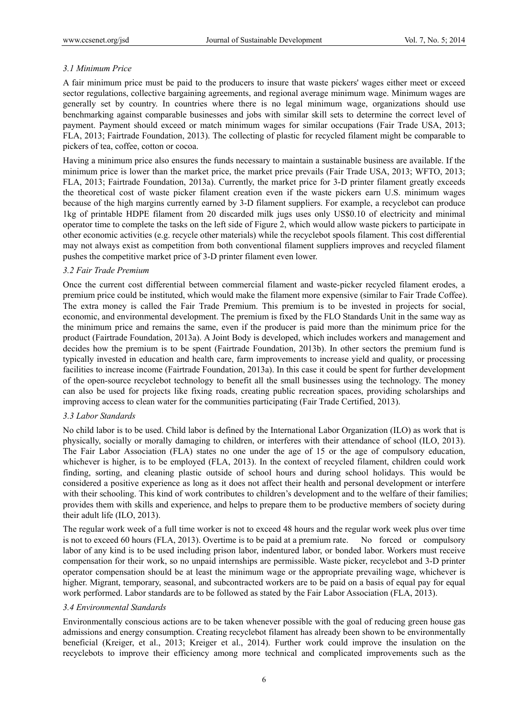### *3.1 Minimum Price*

A fair minimum price must be paid to the producers to insure that waste pickers' wages either meet or exceed sector regulations, collective bargaining agreements, and regional average minimum wage. Minimum wages are generally set by country. In countries where there is no legal minimum wage, organizations should use benchmarking against comparable businesses and jobs with similar skill sets to determine the correct level of payment. Payment should exceed or match minimum wages for similar occupations (Fair Trade USA, 2013; FLA, 2013; Fairtrade Foundation, 2013). The collecting of plastic for recycled filament might be comparable to pickers of tea, coffee, cotton or cocoa.

Having a minimum price also ensures the funds necessary to maintain a sustainable business are available. If the minimum price is lower than the market price, the market price prevails (Fair Trade USA, 2013; WFTO, 2013; FLA, 2013; Fairtrade Foundation, 2013a). Currently, the market price for 3-D printer filament greatly exceeds the theoretical cost of waste picker filament creation even if the waste pickers earn U.S. minimum wages because of the high margins currently earned by 3-D filament suppliers. For example, a recyclebot can produce 1kg of printable HDPE filament from 20 discarded milk jugs uses only US\$0.10 of electricity and minimal operator time to complete the tasks on the left side of Figure 2, which would allow waste pickers to participate in other economic activities (e.g. recycle other materials) while the recyclebot spools filament. This cost differential may not always exist as competition from both conventional filament suppliers improves and recycled filament pushes the competitive market price of 3-D printer filament even lower.

## *3.2 Fair Trade Premium*

Once the current cost differential between commercial filament and waste-picker recycled filament erodes, a premium price could be instituted, which would make the filament more expensive (similar to Fair Trade Coffee). The extra money is called the Fair Trade Premium. This premium is to be invested in projects for social, economic, and environmental development. The premium is fixed by the FLO Standards Unit in the same way as the minimum price and remains the same, even if the producer is paid more than the minimum price for the product (Fairtrade Foundation, 2013a). A Joint Body is developed, which includes workers and management and decides how the premium is to be spent (Fairtrade Foundation, 2013b). In other sectors the premium fund is typically invested in education and health care, farm improvements to increase yield and quality, or processing facilities to increase income (Fairtrade Foundation, 2013a). In this case it could be spent for further development of the open-source recyclebot technology to benefit all the small businesses using the technology. The money can also be used for projects like fixing roads, creating public recreation spaces, providing scholarships and improving access to clean water for the communities participating (Fair Trade Certified, 2013).

## *3.3 Labor Standards*

No child labor is to be used. Child labor is defined by the International Labor Organization (ILO) as work that is physically, socially or morally damaging to children, or interferes with their attendance of school (ILO, 2013). The Fair Labor Association (FLA) states no one under the age of 15 or the age of compulsory education, whichever is higher, is to be employed (FLA, 2013). In the context of recycled filament, children could work finding, sorting, and cleaning plastic outside of school hours and during school holidays. This would be considered a positive experience as long as it does not affect their health and personal development or interfere with their schooling. This kind of work contributes to children's development and to the welfare of their families; provides them with skills and experience, and helps to prepare them to be productive members of society during their adult life (ILO, 2013).

The regular work week of a full time worker is not to exceed 48 hours and the regular work week plus over time is not to exceed 60 hours (FLA, 2013). Overtime is to be paid at a premium rate. No forced or compulsory labor of any kind is to be used including prison labor, indentured labor, or bonded labor. Workers must receive compensation for their work, so no unpaid internships are permissible. Waste picker, recyclebot and 3-D printer operator compensation should be at least the minimum wage or the appropriate prevailing wage, whichever is higher. Migrant, temporary, seasonal, and subcontracted workers are to be paid on a basis of equal pay for equal work performed. Labor standards are to be followed as stated by the Fair Labor Association (FLA, 2013).

### *3.4 Environmental Standards*

Environmentally conscious actions are to be taken whenever possible with the goal of reducing green house gas admissions and energy consumption. Creating recyclebot filament has already been shown to be environmentally beneficial (Kreiger, et al., 2013; Kreiger et al., 2014). Further work could improve the insulation on the recyclebots to improve their efficiency among more technical and complicated improvements such as the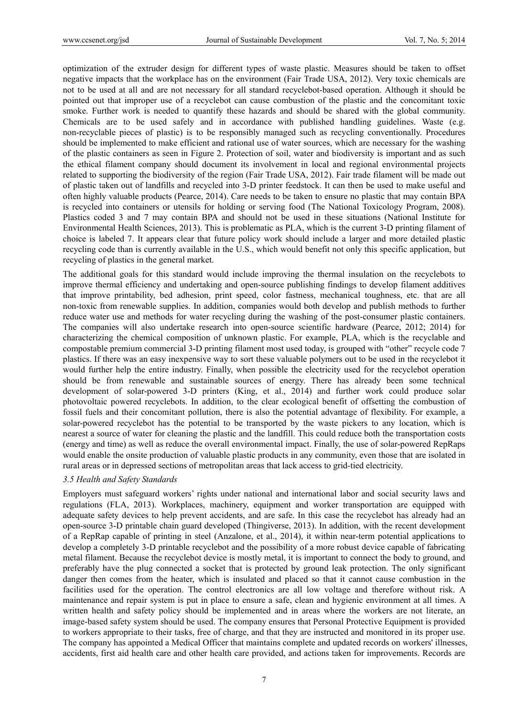optimization of the extruder design for different types of waste plastic. Measures should be taken to offset negative impacts that the workplace has on the environment (Fair Trade USA, 2012). Very toxic chemicals are not to be used at all and are not necessary for all standard recyclebot-based operation. Although it should be pointed out that improper use of a recyclebot can cause combustion of the plastic and the concomitant toxic smoke. Further work is needed to quantify these hazards and should be shared with the global community. Chemicals are to be used safely and in accordance with published handling guidelines. Waste (e.g. non-recyclable pieces of plastic) is to be responsibly managed such as recycling conventionally. Procedures should be implemented to make efficient and rational use of water sources, which are necessary for the washing of the plastic containers as seen in Figure 2. Protection of soil, water and biodiversity is important and as such the ethical filament company should document its involvement in local and regional environmental projects related to supporting the biodiversity of the region (Fair Trade USA, 2012). Fair trade filament will be made out of plastic taken out of landfills and recycled into 3-D printer feedstock. It can then be used to make useful and often highly valuable products (Pearce, 2014). Care needs to be taken to ensure no plastic that may contain BPA is recycled into containers or utensils for holding or serving food (The National Toxicology Program, 2008). Plastics coded 3 and 7 may contain BPA and should not be used in these situations (National Institute for Environmental Health Sciences, 2013). This is problematic as PLA, which is the current 3-D printing filament of choice is labeled 7. It appears clear that future policy work should include a larger and more detailed plastic recycling code than is currently available in the U.S., which would benefit not only this specific application, but recycling of plastics in the general market.

The additional goals for this standard would include improving the thermal insulation on the recyclebots to improve thermal efficiency and undertaking and open-source publishing findings to develop filament additives that improve printability, bed adhesion, print speed, color fastness, mechanical toughness, etc. that are all non-toxic from renewable supplies. In addition, companies would both develop and publish methods to further reduce water use and methods for water recycling during the washing of the post-consumer plastic containers. The companies will also undertake research into open-source scientific hardware (Pearce, 2012; 2014) for characterizing the chemical composition of unknown plastic. For example, PLA, which is the recyclable and compostable premium commercial 3-D printing filament most used today, is grouped with "other" recycle code 7 plastics. If there was an easy inexpensive way to sort these valuable polymers out to be used in the recyclebot it would further help the entire industry. Finally, when possible the electricity used for the recyclebot operation should be from renewable and sustainable sources of energy. There has already been some technical development of solar-powered 3-D printers (King, et al., 2014) and further work could produce solar photovoltaic powered recyclebots. In addition, to the clear ecological benefit of offsetting the combustion of fossil fuels and their concomitant pollution, there is also the potential advantage of flexibility. For example, a solar-powered recyclebot has the potential to be transported by the waste pickers to any location, which is nearest a source of water for cleaning the plastic and the landfill. This could reduce both the transportation costs (energy and time) as well as reduce the overall environmental impact. Finally, the use of solar-powered RepRaps would enable the onsite production of valuable plastic products in any community, even those that are isolated in rural areas or in depressed sections of metropolitan areas that lack access to grid-tied electricity.

### *3.5 Health and Safety Standards*

Employers must safeguard workers' rights under national and international labor and social security laws and regulations (FLA, 2013). Workplaces, machinery, equipment and worker transportation are equipped with adequate safety devices to help prevent accidents, and are safe. In this case the recyclebot has already had an open-source 3-D printable chain guard developed (Thingiverse, 2013). In addition, with the recent development of a RepRap capable of printing in steel (Anzalone, et al., 2014), it within near-term potential applications to develop a completely 3-D printable recyclebot and the possibility of a more robust device capable of fabricating metal filament. Because the recyclebot device is mostly metal, it is important to connect the body to ground, and preferably have the plug connected a socket that is protected by ground leak protection. The only significant danger then comes from the heater, which is insulated and placed so that it cannot cause combustion in the facilities used for the operation. The control electronics are all low voltage and therefore without risk. A maintenance and repair system is put in place to ensure a safe, clean and hygienic environment at all times. A written health and safety policy should be implemented and in areas where the workers are not literate, an image-based safety system should be used. The company ensures that Personal Protective Equipment is provided to workers appropriate to their tasks, free of charge, and that they are instructed and monitored in its proper use. The company has appointed a Medical Officer that maintains complete and updated records on workers' illnesses, accidents, first aid health care and other health care provided, and actions taken for improvements. Records are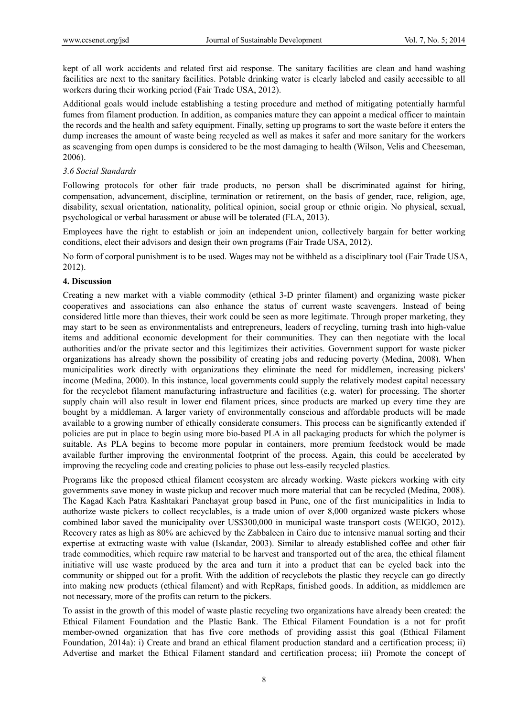kept of all work accidents and related first aid response. The sanitary facilities are clean and hand washing facilities are next to the sanitary facilities. Potable drinking water is clearly labeled and easily accessible to all workers during their working period (Fair Trade USA, 2012).

Additional goals would include establishing a testing procedure and method of mitigating potentially harmful fumes from filament production. In addition, as companies mature they can appoint a medical officer to maintain the records and the health and safety equipment. Finally, setting up programs to sort the waste before it enters the dump increases the amount of waste being recycled as well as makes it safer and more sanitary for the workers as scavenging from open dumps is considered to be the most damaging to health (Wilson, Velis and Cheeseman, 2006).

#### *3.6 Social Standards*

Following protocols for other fair trade products, no person shall be discriminated against for hiring, compensation, advancement, discipline, termination or retirement, on the basis of gender, race, religion, age, disability, sexual orientation, nationality, political opinion, social group or ethnic origin. No physical, sexual, psychological or verbal harassment or abuse will be tolerated (FLA, 2013).

Employees have the right to establish or join an independent union, collectively bargain for better working conditions, elect their advisors and design their own programs (Fair Trade USA, 2012).

No form of corporal punishment is to be used. Wages may not be withheld as a disciplinary tool (Fair Trade USA, 2012).

#### **4. Discussion**

Creating a new market with a viable commodity (ethical 3-D printer filament) and organizing waste picker cooperatives and associations can also enhance the status of current waste scavengers. Instead of being considered little more than thieves, their work could be seen as more legitimate. Through proper marketing, they may start to be seen as environmentalists and entrepreneurs, leaders of recycling, turning trash into high-value items and additional economic development for their communities. They can then negotiate with the local authorities and/or the private sector and this legitimizes their activities. Government support for waste picker organizations has already shown the possibility of creating jobs and reducing poverty (Medina, 2008). When municipalities work directly with organizations they eliminate the need for middlemen, increasing pickers' income (Medina, 2000). In this instance, local governments could supply the relatively modest capital necessary for the recyclebot filament manufacturing infrastructure and facilities (e.g. water) for processing. The shorter supply chain will also result in lower end filament prices, since products are marked up every time they are bought by a middleman. A larger variety of environmentally conscious and affordable products will be made available to a growing number of ethically considerate consumers. This process can be significantly extended if policies are put in place to begin using more bio-based PLA in all packaging products for which the polymer is suitable. As PLA begins to become more popular in containers, more premium feedstock would be made available further improving the environmental footprint of the process. Again, this could be accelerated by improving the recycling code and creating policies to phase out less-easily recycled plastics.

Programs like the proposed ethical filament ecosystem are already working. Waste pickers working with city governments save money in waste pickup and recover much more material that can be recycled (Medina, 2008). The Kagad Kach Patra Kashtakari Panchayat group based in Pune, one of the first municipalities in India to authorize waste pickers to collect recyclables, is a trade union of over 8,000 organized waste pickers whose combined labor saved the municipality over US\$300,000 in municipal waste transport costs (WEIGO, 2012). Recovery rates as high as 80% are achieved by the Zabbaleen in Cairo due to intensive manual sorting and their expertise at extracting waste with value (Iskandar, 2003). Similar to already established coffee and other fair trade commodities, which require raw material to be harvest and transported out of the area, the ethical filament initiative will use waste produced by the area and turn it into a product that can be cycled back into the community or shipped out for a profit. With the addition of recyclebots the plastic they recycle can go directly into making new products (ethical filament) and with RepRaps, finished goods. In addition, as middlemen are not necessary, more of the profits can return to the pickers.

To assist in the growth of this model of waste plastic recycling two organizations have already been created: the Ethical Filament Foundation and the Plastic Bank. The Ethical Filament Foundation is a not for profit member-owned organization that has five core methods of providing assist this goal (Ethical Filament Foundation, 2014a): i) Create and brand an ethical filament production standard and a certification process; ii) Advertise and market the Ethical Filament standard and certification process; iii) Promote the concept of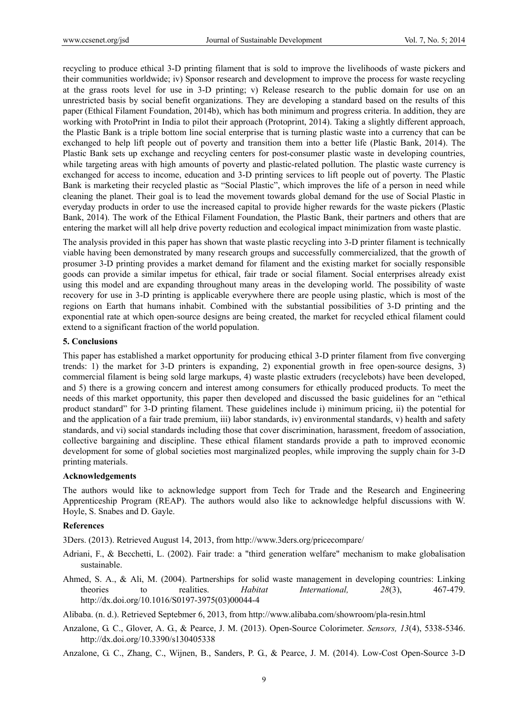recycling to produce ethical 3-D printing filament that is sold to improve the livelihoods of waste pickers and their communities worldwide; iv) Sponsor research and development to improve the process for waste recycling at the grass roots level for use in 3-D printing; v) Release research to the public domain for use on an unrestricted basis by social benefit organizations. They are developing a standard based on the results of this paper (Ethical Filament Foundation, 2014b), which has both minimum and progress criteria. In addition, they are working with ProtoPrint in India to pilot their approach (Protoprint, 2014). Taking a slightly different approach, the Plastic Bank is a triple bottom line social enterprise that is turning plastic waste into a currency that can be exchanged to help lift people out of poverty and transition them into a better life (Plastic Bank, 2014). The Plastic Bank sets up exchange and recycling centers for post-consumer plastic waste in developing countries, while targeting areas with high amounts of poverty and plastic-related pollution. The plastic waste currency is exchanged for access to income, education and 3-D printing services to lift people out of poverty. The Plastic Bank is marketing their recycled plastic as "Social Plastic", which improves the life of a person in need while cleaning the planet. Their goal is to lead the movement towards global demand for the use of Social Plastic in everyday products in order to use the increased capital to provide higher rewards for the waste pickers (Plastic Bank, 2014). The work of the Ethical Filament Foundation, the Plastic Bank, their partners and others that are entering the market will all help drive poverty reduction and ecological impact minimization from waste plastic.

The analysis provided in this paper has shown that waste plastic recycling into 3-D printer filament is technically viable having been demonstrated by many research groups and successfully commercialized, that the growth of prosumer 3-D printing provides a market demand for filament and the existing market for socially responsible goods can provide a similar impetus for ethical, fair trade or social filament. Social enterprises already exist using this model and are expanding throughout many areas in the developing world. The possibility of waste recovery for use in 3-D printing is applicable everywhere there are people using plastic, which is most of the regions on Earth that humans inhabit. Combined with the substantial possibilities of 3-D printing and the exponential rate at which open-source designs are being created, the market for recycled ethical filament could extend to a significant fraction of the world population.

### **5. Conclusions**

This paper has established a market opportunity for producing ethical 3-D printer filament from five converging trends: 1) the market for 3-D printers is expanding, 2) exponential growth in free open-source designs, 3) commercial filament is being sold large markups, 4) waste plastic extruders (recyclebots) have been developed, and 5) there is a growing concern and interest among consumers for ethically produced products. To meet the needs of this market opportunity, this paper then developed and discussed the basic guidelines for an "ethical product standard" for 3-D printing filament. These guidelines include i) minimum pricing, ii) the potential for and the application of a fair trade premium, iii) labor standards, iv) environmental standards, v) health and safety standards, and vi) social standards including those that cover discrimination, harassment, freedom of association, collective bargaining and discipline. These ethical filament standards provide a path to improved economic development for some of global societies most marginalized peoples, while improving the supply chain for 3-D printing materials.

### **Acknowledgements**

The authors would like to acknowledge support from Tech for Trade and the Research and Engineering Apprenticeship Program (REAP). The authors would also like to acknowledge helpful discussions with W. Hoyle, S. Snabes and D. Gayle.

### **References**

3Ders. (2013). Retrieved August 14, 2013, from http://www.3ders.org/pricecompare/

- Adriani, F., & Becchetti, L. (2002). Fair trade: a "third generation welfare" mechanism to make globalisation sustainable.
- Ahmed, S. A., & Ali, M. (2004). Partnerships for solid waste management in developing countries: Linking theories to realities. *Habitat International, 28*(3), 467-479. http://dx.doi.org/10.1016/S0197-3975(03)00044-4

Alibaba. (n. d.). Retrieved Septebmer 6, 2013, from http://www.alibaba.com/showroom/pla-resin.html

Anzalone, G. C., Glover, A. G., & Pearce, J. M. (2013). Open-Source Colorimeter. *Sensors, 13*(4), 5338-5346. http://dx.doi.org/10.3390/s130405338

Anzalone, G. C., Zhang, C., Wijnen, B., Sanders, P. G., & Pearce, J. M. (2014). Low-Cost Open-Source 3-D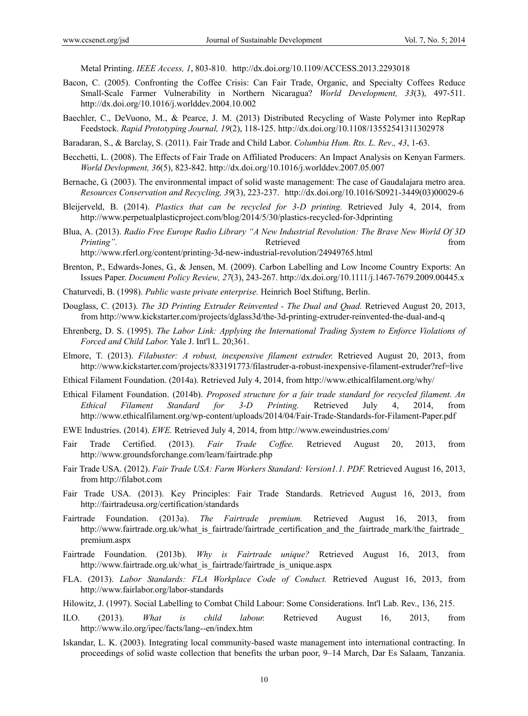Metal Printing. *IEEE Access, 1*, 803-810. http://dx.doi.org/10.1109/ACCESS.2013.2293018

- Bacon, C. (2005). Confronting the Coffee Crisis: Can Fair Trade, Organic, and Specialty Coffees Reduce Small-Scale Farmer Vulnerability in Northern Nicaragua? *World Development, 33*(3), 497-511. http://dx.doi.org/10.1016/j.worlddev.2004.10.002
- Baechler, C., DeVuono, M., & Pearce, J. M. (2013) Distributed Recycling of Waste Polymer into RepRap Feedstock. *Rapid Prototyping Journal, 19*(2), 118-125. http://dx.doi.org/10.1108/13552541311302978
- Baradaran, S., & Barclay, S. (2011). Fair Trade and Child Labor. *Columbia Hum. Rts. L. Rev*.*, 43*, 1-63.
- Becchetti, L. (2008). The Effects of Fair Trade on Affiliated Producers: An Impact Analysis on Kenyan Farmers. *World Devlopment, 36*(5), 823-842. http://dx.doi.org/10.1016/j.worlddev.2007.05.007
- Bernache, G. (2003). The environmental impact of solid waste management: The case of Gaudalajara metro area. *Resources Conservation and Recycling, 39*(3), 223-237. http://dx.doi.org/10.1016/S0921-3449(03)00029-6
- Bleijerveld, B. (2014). *Plastics that can be recycled for 3-D printing.* Retrieved July 4, 2014, from http://www.perpetualplasticproject.com/blog/2014/5/30/plastics-recycled-for-3dprinting
- Blua, A. (2013). *Radio Free Europe Radio Library "A New Industrial Revolution: The Brave New World Of 3D Printing"*. The contract of the extension of the extension of the extension of the extension of the extension of the extension of the extension of the extension of the extension of the extension of the extension of the ex

http://www.rferl.org/content/printing-3d-new-industrial-revolution/24949765.html

- Brenton, P., Edwards-Jones, G., & Jensen, M. (2009). Carbon Labelling and Low Income Country Exports: An Issues Paper. *Document Policy Review, 27*(3), 243-267. http://dx.doi.org/10.1111/j.1467-7679.2009.00445.x
- Chaturvedi, B. (1998). *Public waste private enterprise.* Heinrich Boel Stiftung, Berlin.
- Douglass, C. (2013). *The 3D Printing Extruder Reinvented The Dual and Quad.* Retrieved August 20, 2013, from http://www.kickstarter.com/projects/dglass3d/the-3d-printing-extruder-reinvented-the-dual-and-q
- Ehrenberg, D. S. (1995). *The Labor Link: Applying the International Trading System to Enforce Violations of Forced and Child Labor.* Yale J. Int'l L. 20;361.
- Elmore, T. (2013). *Filabuster: A robust, inexpensive filament extruder.* Retrieved August 20, 2013, from http://www.kickstarter.com/projects/833191773/filastruder-a-robust-inexpensive-filament-extruder?ref=live
- Ethical Filament Foundation. (2014a). Retrieved July 4, 2014, from http://www.ethicalfilament.org/why/
- Ethical Filament Foundation. (2014b). *Proposed structure for a fair trade standard for recycled filament. An Ethical Filament Standard for 3-D Printing.* Retrieved July 4, 2014, from http://www.ethicalfilament.org/wp-content/uploads/2014/04/Fair-Trade-Standards-for-Filament-Paper.pdf
- EWE Industries. (2014). *EWE.* Retrieved July 4, 2014, from http://www.eweindustries.com/
- Fair Trade Certified. (2013). *Fair Trade Coffee.* Retrieved August 20, 2013, from http://www.groundsforchange.com/learn/fairtrade.php
- Fair Trade USA. (2012). *Fair Trade USA: Farm Workers Standard: Version1.1. PDF.* Retrieved August 16, 2013, from http://filabot.com
- Fair Trade USA. (2013). Key Principles: Fair Trade Standards. Retrieved August 16, 2013, from http://fairtradeusa.org/certification/standards
- Fairtrade Foundation. (2013a). *The Fairtrade premium.* Retrieved August 16, 2013, from http://www.fairtrade.org.uk/what\_is\_fairtrade/fairtrade\_certification\_and\_the\_fairtrade\_mark/the\_fairtrade premium.aspx
- Fairtrade Foundation. (2013b). *Why is Fairtrade unique?* Retrieved August 16, 2013, from http://www.fairtrade.org.uk/what\_is\_fairtrade/fairtrade\_is\_unique.aspx
- FLA. (2013). *Labor Standards: FLA Workplace Code of Conduct.* Retrieved August 16, 2013, from http://www.fairlabor.org/labor-standards
- Hilowitz, J. (1997). Social Labelling to Combat Child Labour: Some Considerations. Int'l Lab. Rev., 136, 215.
- ILO. (2013). *What is child labour.* Retrieved August 16, 2013, from http://www.ilo.org/ipec/facts/lang--en/index.htm
- Iskandar, L. K. (2003). Integrating local community-based waste management into international contracting. In proceedings of solid waste collection that benefits the urban poor, 9–14 March, Dar Es Salaam, Tanzania.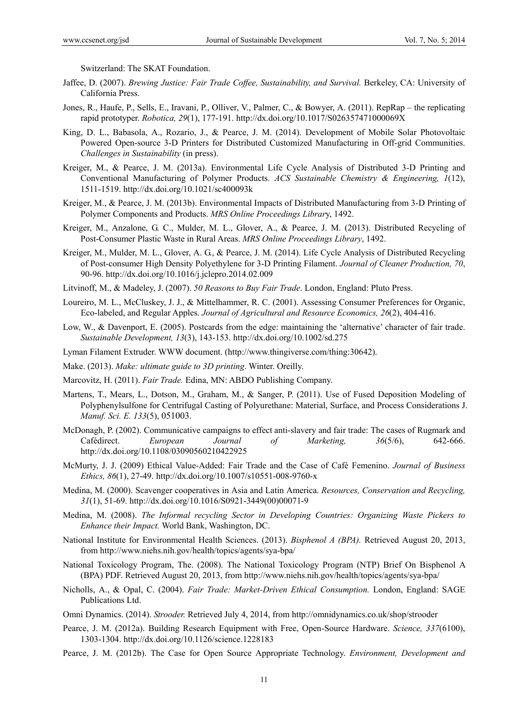Switzerland: The SKAT Foundation.

- Jaffee, D. (2007). *Brewing Justice: Fair Trade Coffee, Sustainability, and Survival.* Berkeley, CA: University of California Press.
- Jones, R., Haufe, P., Sells, E., Iravani, P., Olliver, V., Palmer, C., & Bowyer, A. (2011). RepRap the replicating rapid prototyper. *Robotica, 29*(1), 177-191. http://dx.doi.org/10.1017/S026357471000069X
- King, D. L., Babasola, A., Rozario, J., & Pearce, J. M. (2014). Development of Mobile Solar Photovoltaic Powered Open-source 3-D Printers for Distributed Customized Manufacturing in Off-grid Communities. *Challenges in Sustainability* (in press).
- Kreiger, M., & Pearce, J. M. (2013a). Environmental Life Cycle Analysis of Distributed 3-D Printing and Conventional Manufacturing of Polymer Products. *ACS Sustainable Chemistry & Engineering, 1*(12), 1511-1519. http://dx.doi.org/10.1021/sc400093k
- Kreiger, M., & Pearce, J. M. (2013b). Environmental Impacts of Distributed Manufacturing from 3-D Printing of Polymer Components and Products. *MRS Online Proceedings Librar*y, 1492.
- Kreiger, M., Anzalone, G. C., Mulder, M. L., Glover, A., & Pearce, J. M. (2013). Distributed Recycling of Post-Consumer Plastic Waste in Rural Areas. *MRS Online Proceedings Library*, 1492.
- Kreiger, M., Mulder, M. L., Glover, A. G., & Pearce, J. M. (2014). Life Cycle Analysis of Distributed Recycling of Post-consumer High Density Polyethylene for 3-D Printing Filament. *Journal of Cleaner Production, 70*, 90-96. http://dx.doi.org/10.1016/j.jclepro.2014.02.009
- Litvinoff, M., & Madeley, J. (2007). *50 Reasons to Buy Fair Trade*. London, England: Pluto Press.
- Loureiro, M. L., McCluskey, J. J., & Mittelhammer, R. C. (2001). Assessing Consumer Preferences for Organic, Eco-labeled, and Regular Apples. *Journal of Agricultural and Resource Economics, 26*(2), 404-416.
- Low, W., & Davenport, E. (2005). Postcards from the edge: maintaining the 'alternative' character of fair trade. *Sustainable Development, 13*(3), 143-153. http://dx.doi.org/10.1002/sd.275
- Lyman Filament Extruder. WWW document. (http://www.thingiverse.com/thing:30642).
- Make. (2013). *Make: ultimate guide to 3D printing*. Winter. Oreilly.
- Marcovitz, H. (2011). *Fair Trade.* Edina, MN: ABDO Publishing Company.
- Martens, T., Mears, L., Dotson, M., Graham, M., & Sanger, P. (2011). Use of Fused Deposition Modeling of Polyphenylsulfone for Centrifugal Casting of Polyurethane: Material, Surface, and Process Considerations J. *Manuf. Sci. E. 133*(5), 051003.
- McDonagh, P. (2002). Communicative campaigns to effect anti-slavery and fair trade: The cases of Rugmark and Cafédirect. *European Journal of Marketing, 36*(5/6), 642-666. http://dx.doi.org/10.1108/03090560210422925
- McMurty, J. J. (2009) Ethical Value-Added: Fair Trade and the Case of Café Femenino. *Journal of Business Ethics, 86*(1), 27-49. http://dx.doi.org/10.1007/s10551-008-9760-x
- Medina, M. (2000). Scavenger cooperatives in Asia and Latin America. *Resources, Conservation and Recycling, 31*(1), 51-69. http://dx.doi.org/10.1016/S0921-3449(00)00071-9
- Medina, M. (2008). *The Informal recycling Sector in Developing Countries: Organizing Waste Pickers to Enhance their Impact.* World Bank, Washington, DC.
- National Institute for Environmental Health Sciences. (2013). *Bisphenol A (BPA).* Retrieved August 20, 2013, from http://www.niehs.nih.gov/health/topics/agents/sya-bpa/
- National Toxicology Program, The. (2008). The National Toxicology Program (NTP) Brief On Bisphenol A (BPA) PDF. Retrieved August 20, 2013, from http://www.niehs.nih.gov/health/topics/agents/sya-bpa/
- Nicholls, A., & Opal, C. (2004). *Fair Trade: Market-Driven Ethical Consumption.* London, England: SAGE Publications Ltd.
- Omni Dynamics. (2014). *Strooder.* Retrieved July 4, 2014, from http://omnidynamics.co.uk/shop/strooder
- Pearce, J. M. (2012a). Building Research Equipment with Free, Open-Source Hardware. *Science, 337*(6100), 1303-1304. http://dx.doi.org/10.1126/science.1228183
- Pearce, J. M. (2012b). The Case for Open Source Appropriate Technology. *Environment, Development and*